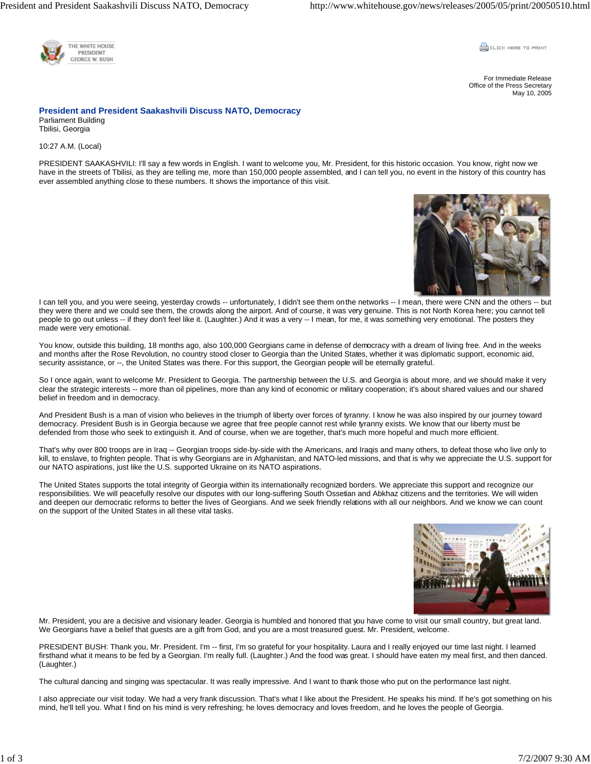

**CLICK HERE TO PRINT** 

For Immediate Release Office of the Press Secretary May 10, 2005

**President and President Saakashvili Discuss NATO, Democracy**  Parliament Building Tbilisi, Georgia

10:27 A.M. (Local)

PRESIDENT SAAKASHVILI: I'll say a few words in English. I want to welcome you, Mr. President, for this historic occasion. You know, right now we have in the streets of Tbilisi, as they are telling me, more than 150,000 people assembled, and I can tell you, no event in the history of this country has ever assembled anything close to these numbers. It shows the importance of this visit.



I can tell you, and you were seeing, yesterday crowds -- unfortunately, I didn't see them on the networks -- I mean, there were CNN and the others -- but they were there and we could see them, the crowds along the airport. And of course, it was very genuine. This is not North Korea here; you cannot tell people to go out unless -- if they don't feel like it. (Laughter.) And it was a very -- I mean, for me, it was something very emotional. The posters they made were very emotional.

You know, outside this building, 18 months ago, also 100,000 Georgians came in defense of democracy with a dream of living free. And in the weeks and months after the Rose Revolution, no country stood closer to Georgia than the United States, whether it was diplomatic support, economic aid, security assistance, or --, the United States was there. For this support, the Georgian people will be eternally grateful.

So I once again, want to welcome Mr. President to Georgia. The partnership between the U.S. and Georgia is about more, and we should make it very clear the strategic interests -- more than oil pipelines, more than any kind of economic or military cooperation; it's about shared values and our shared belief in freedom and in democracy.

And President Bush is a man of vision who believes in the triumph of liberty over forces of tyranny. I know he was also inspired by our journey toward democracy. President Bush is in Georgia because we agree that free people cannot rest while tyranny exists. We know that our liberty must be defended from those who seek to extinguish it. And of course, when we are together, that's much more hopeful and much more efficient.

That's why over 800 troops are in Iraq -- Georgian troops side-by-side with the Americans, and Iraqis and many others, to defeat those who live only to kill, to enslave, to frighten people. That is why Georgians are in Afghanistan, and NATO-led missions, and that is why we appreciate the U.S. support for our NATO aspirations, just like the U.S. supported Ukraine on its NATO aspirations.

The United States supports the total integrity of Georgia within its internationally recognized borders. We appreciate this support and recognize our responsibilities. We will peacefully resolve our disputes with our long-suffering South Ossetian and Abkhaz citizens and the territories. We will widen and deepen our democratic reforms to better the lives of Georgians. And we seek friendly relations with all our neighbors. And we know we can count on the support of the United States in all these vital tasks.



Mr. President, you are a decisive and visionary leader. Georgia is humbled and honored that you have come to visit our small country, but great land. We Georgians have a belief that guests are a gift from God, and you are a most treasured guest. Mr. President, welcome.

PRESIDENT BUSH: Thank you, Mr. President. I'm -- first, I'm so grateful for your hospitality. Laura and I really enjoyed our time last night. I learned firsthand what it means to be fed by a Georgian. I'm really full. (Laughter.) And the food was great. I should have eaten my meal first, and then danced. (Laughter.)

The cultural dancing and singing was spectacular. It was really impressive. And I want to thank those who put on the performance last night.

I also appreciate our visit today. We had a very frank discussion. That's what I like about the President. He speaks his mind. If he's got something on his mind, he'll tell you. What I find on his mind is very refreshing; he loves democracy and loves freedom, and he loves the people of Georgia.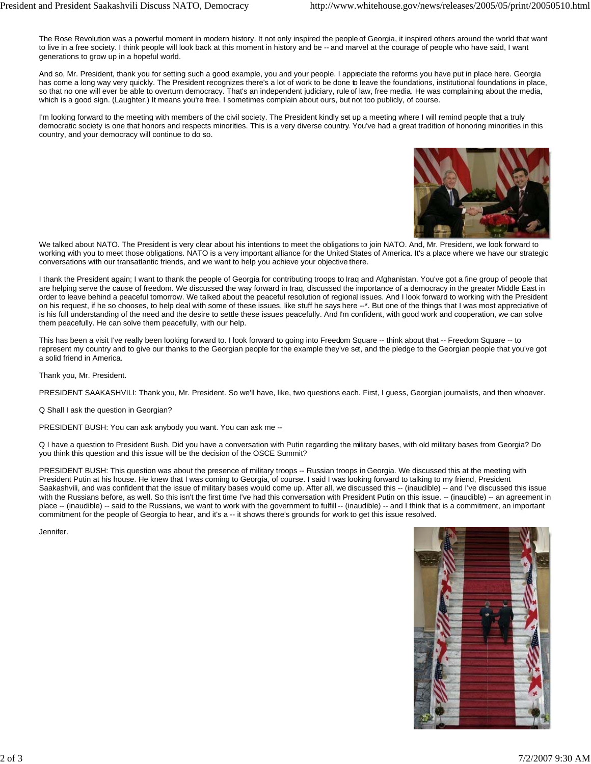The Rose Revolution was a powerful moment in modern history. It not only inspired the people of Georgia, it inspired others around the world that want to live in a free society. I think people will look back at this moment in history and be -- and marvel at the courage of people who have said, I want generations to grow up in a hopeful world.

And so, Mr. President, thank you for setting such a good example, you and your people. I appreciate the reforms you have put in place here. Georgia has come a long way very quickly. The President recognizes there's a lot of work to be done to leave the foundations, institutional foundations in place, so that no one will ever be able to overturn democracy. That's an independent judiciary, rule of law, free media. He was complaining about the media, which is a good sign. (Laughter.) It means you're free. I sometimes complain about ours, but not too publicly, of course.

I'm looking forward to the meeting with members of the civil society. The President kindly set up a meeting where I will remind people that a truly democratic society is one that honors and respects minorities. This is a very diverse country. You've had a great tradition of honoring minorities in this country, and your democracy will continue to do so.



We talked about NATO. The President is very clear about his intentions to meet the obligations to join NATO. And, Mr. President, we look forward to working with you to meet those obligations. NATO is a very important alliance for the United States of America. It's a place where we have our strategic conversations with our transatlantic friends, and we want to help you achieve your objective there.

I thank the President again; I want to thank the people of Georgia for contributing troops to Iraq and Afghanistan. You've got a fine group of people that are helping serve the cause of freedom. We discussed the way forward in Iraq, discussed the importance of a democracy in the greater Middle East in order to leave behind a peaceful tomorrow. We talked about the peaceful resolution of regional issues. And I look forward to working with the President on his request, if he so chooses, to help deal with some of these issues, like stuff he says here --\*. But one of the things that I was most appreciative of is his full understanding of the need and the desire to settle these issues peacefully. And I'm confident, with good work and cooperation, we can solve them peacefully. He can solve them peacefully, with our help.

This has been a visit I've really been looking forward to. I look forward to going into Freedom Square -- think about that -- Freedom Square -- to represent my country and to give our thanks to the Georgian people for the example they've set, and the pledge to the Georgian people that you've got a solid friend in America.

Thank you, Mr. President.

PRESIDENT SAAKASHVILI: Thank you, Mr. President. So we'll have, like, two questions each. First, I guess, Georgian journalists, and then whoever.

Q Shall I ask the question in Georgian?

PRESIDENT BUSH: You can ask anybody you want. You can ask me --

Q I have a question to President Bush. Did you have a conversation with Putin regarding the military bases, with old military bases from Georgia? Do you think this question and this issue will be the decision of the OSCE Summit?

PRESIDENT BUSH: This question was about the presence of military troops -- Russian troops in Georgia. We discussed this at the meeting with President Putin at his house. He knew that I was coming to Georgia, of course. I said I was looking forward to talking to my friend, President Saakashvili, and was confident that the issue of military bases would come up. After all, we discussed this -- (inaudible) -- and I've discussed this issue with the Russians before, as well. So this isn't the first time I've had this conversation with President Putin on this issue. -- (inaudible) -- an agreement in place -- (inaudible) -- said to the Russians, we want to work with the government to fulfill -- (inaudible) -- and I think that is a commitment, an important commitment for the people of Georgia to hear, and it's a -- it shows there's grounds for work to get this issue resolved.

Jennifer.